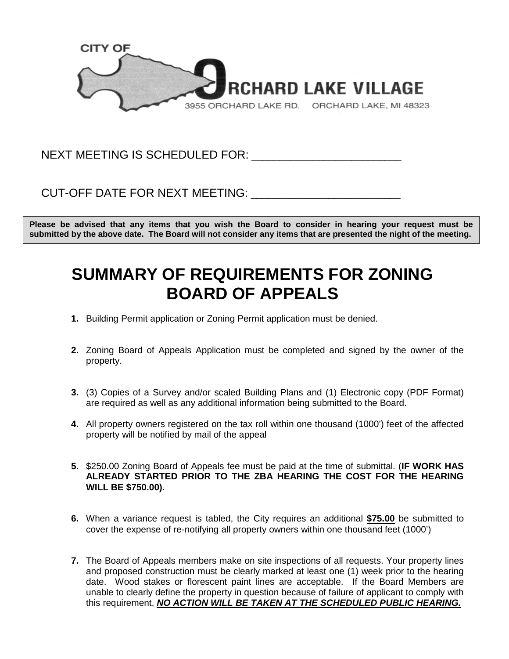

NEXT MEETING IS SCHEDULED FOR: **WEBST** 

CUT-OFF DATE FOR NEXT MEETING: **EXAMPLE TO A SET OF STATE** 

**Please be advised that any items that you wish the Board to consider in hearing your request must be submitted by the above date. The Board will not consider any items that are presented the night of the meeting.**

## **SUMMARY OF REQUIREMENTS FOR ZONING BOARD OF APPEALS**

- **1.** Building Permit application or Zoning Permit application must be denied.
- **2.** Zoning Board of Appeals Application must be completed and signed by the owner of the property.
- **3.** (3) Copies of a Survey and/or scaled Building Plans and (1) Electronic copy (PDF Format) are required as well as any additional information being submitted to the Board.
- **4.** All property owners registered on the tax roll within one thousand (1000') feet of the affected property will be notified by mail of the appeal
- **5.** \$250.00 Zoning Board of Appeals fee must be paid at the time of submittal. (**IF WORK HAS ALREADY STARTED PRIOR TO THE ZBA HEARING THE COST FOR THE HEARING WILL BE \$750.00).**
- **6.** When a variance request is tabled, the City requires an additional **\$75.00** be submitted to cover the expense of re-notifying all property owners within one thousand feet (1000')
- **7.** The Board of Appeals members make on site inspections of all requests. Your property lines and proposed construction must be clearly marked at least one (1) week prior to the hearing date. Wood stakes or florescent paint lines are acceptable. If the Board Members are unable to clearly define the property in question because of failure of applicant to comply with this requirement, *NO ACTION WILL BE TAKEN AT THE SCHEDULED PUBLIC HEARING.*